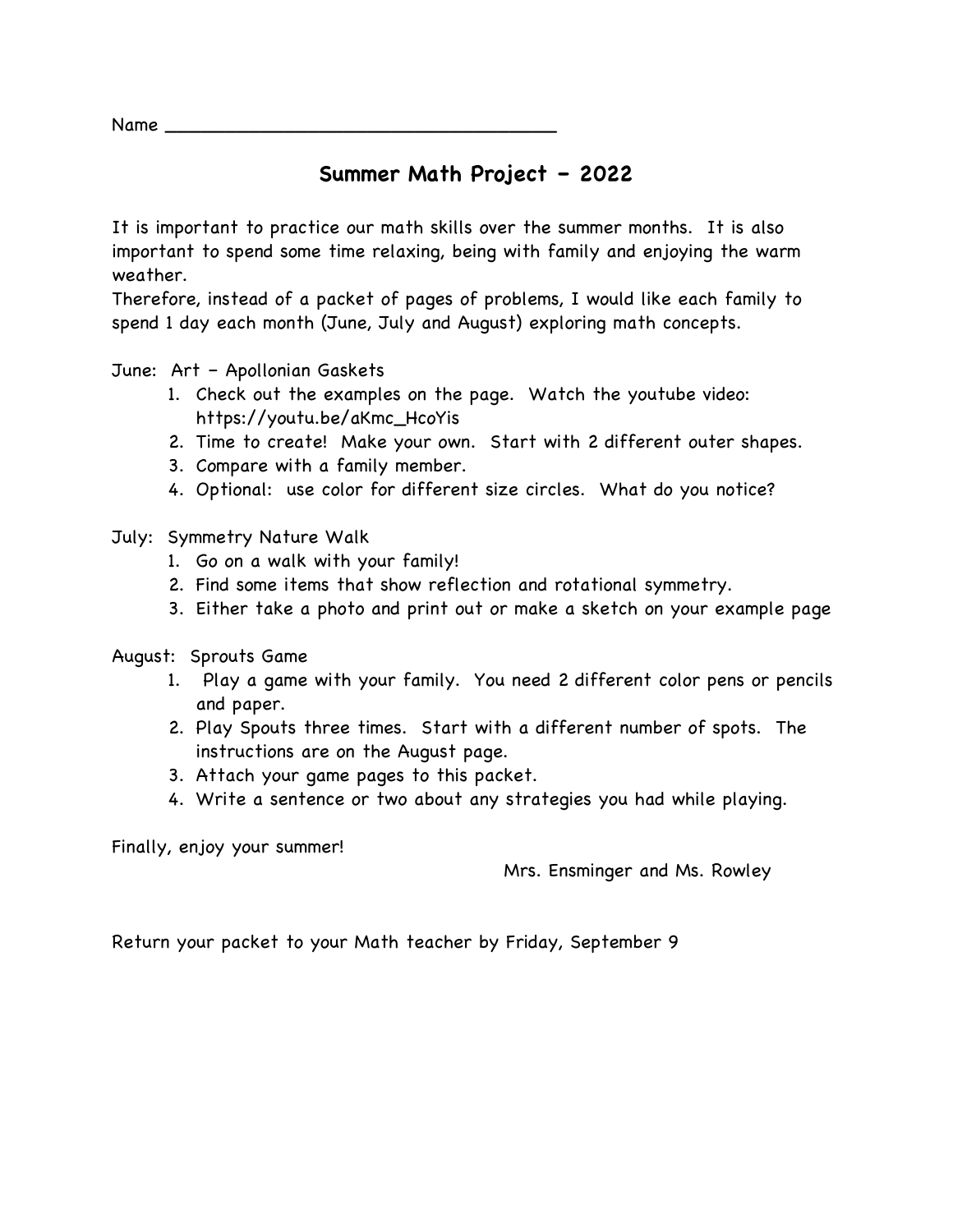Name  $\rule{1em}{0.15mm}$ 

### **Summer Math Project – 2022**

It is important to practice our math skills over the summer months. It is also important to spend some time relaxing, being with family and enjoying the warm weather.

Therefore, instead of a packet of pages of problems, I would like each family to spend 1 day each month (June, July and August) exploring math concepts.

June: Art – Apollonian Gaskets

- 1. Check out the examples on the page. Watch the youtube video: https://youtu.be/aKmc\_HcoYis
- 2. Time to create! Make your own. Start with 2 different outer shapes.
- 3. Compare with a family member.
- 4. Optional: use color for different size circles. What do you notice?

July: Symmetry Nature Walk

- 1. Go on a walk with your family!
- 2. Find some items that show reflection and rotational symmetry.
- 3. Either take a photo and print out or make a sketch on your example page
- August: Sprouts Game
	- 1. Play a game with your family. You need 2 different color pens or pencils and paper.
	- 2. Play Spouts three times. Start with a different number of spots. The instructions are on the August page.
	- 3. Attach your game pages to this packet.
	- 4. Write a sentence or two about any strategies you had while playing.

Finally, enjoy your summer!

Mrs. Ensminger and Ms. Rowley

Return your packet to your Math teacher by Friday, September 9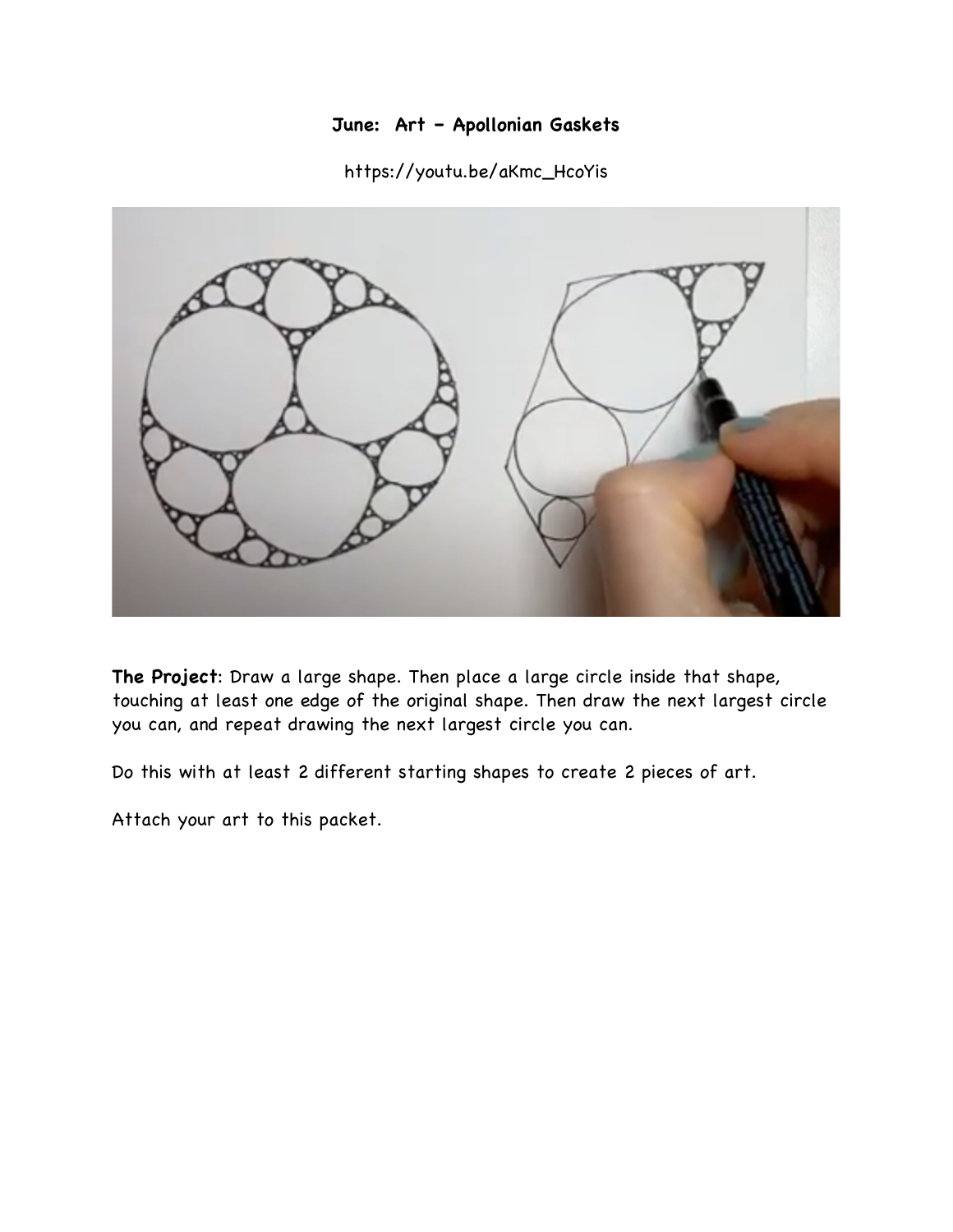### **June: Art – Apollonian Gaskets**

#### https://youtu.be/aKmc\_HcoYis



**The Project**: Draw a large shape. Then place a large circle inside that shape, touching at least one edge of the original shape. Then draw the next largest circle you can, and repeat drawing the next largest circle you can.

Do this with at least 2 different starting shapes to create 2 pieces of art.

Attach your art to this packet.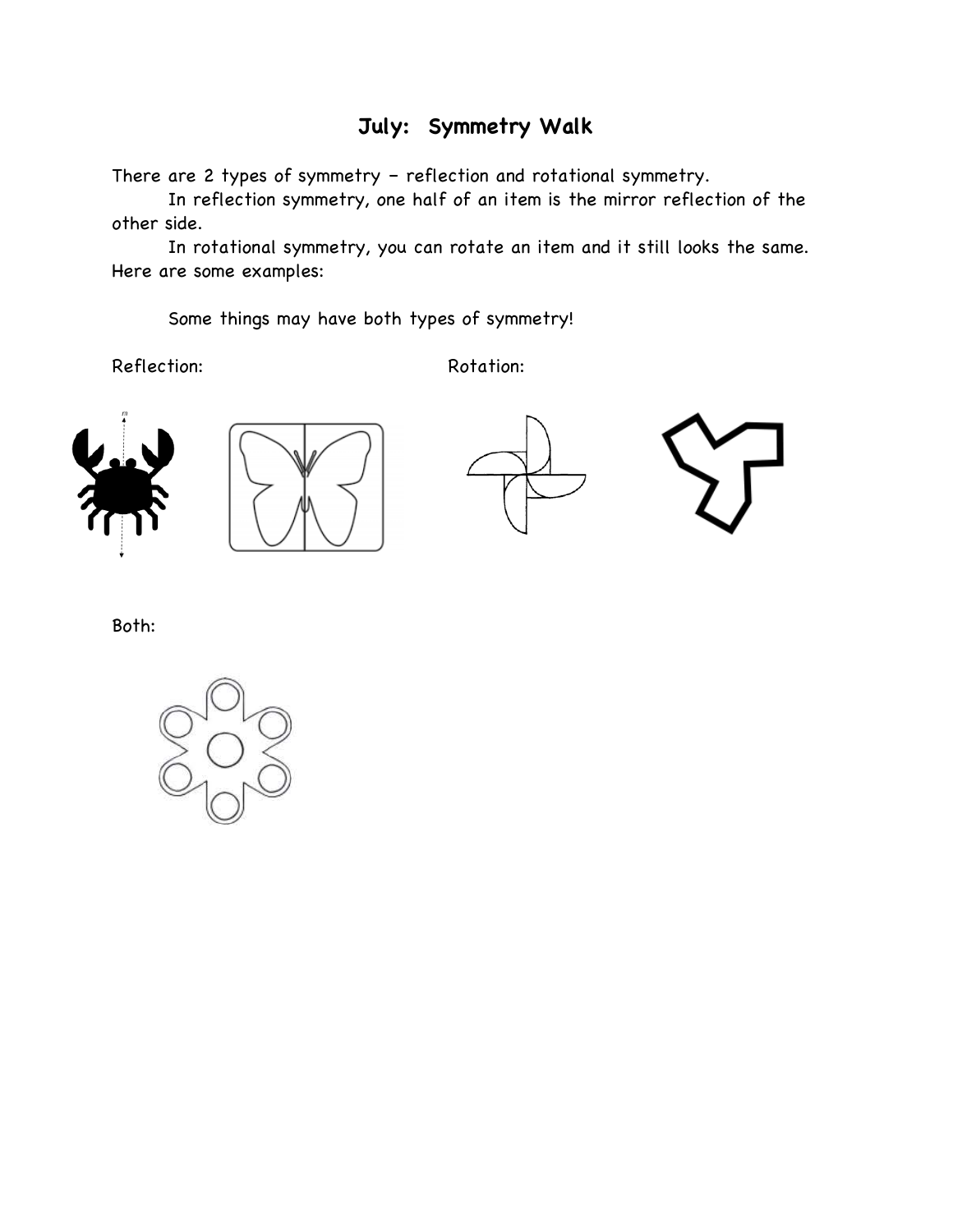## **July: Symmetry Walk**

There are 2 types of symmetry – reflection and rotational symmetry.

In reflection symmetry, one half of an item is the mirror reflection of the other side.

In rotational symmetry, you can rotate an item and it still looks the same. Here are some examples:

Some things may have both types of symmetry!

Reflection: Rotation:









Both:

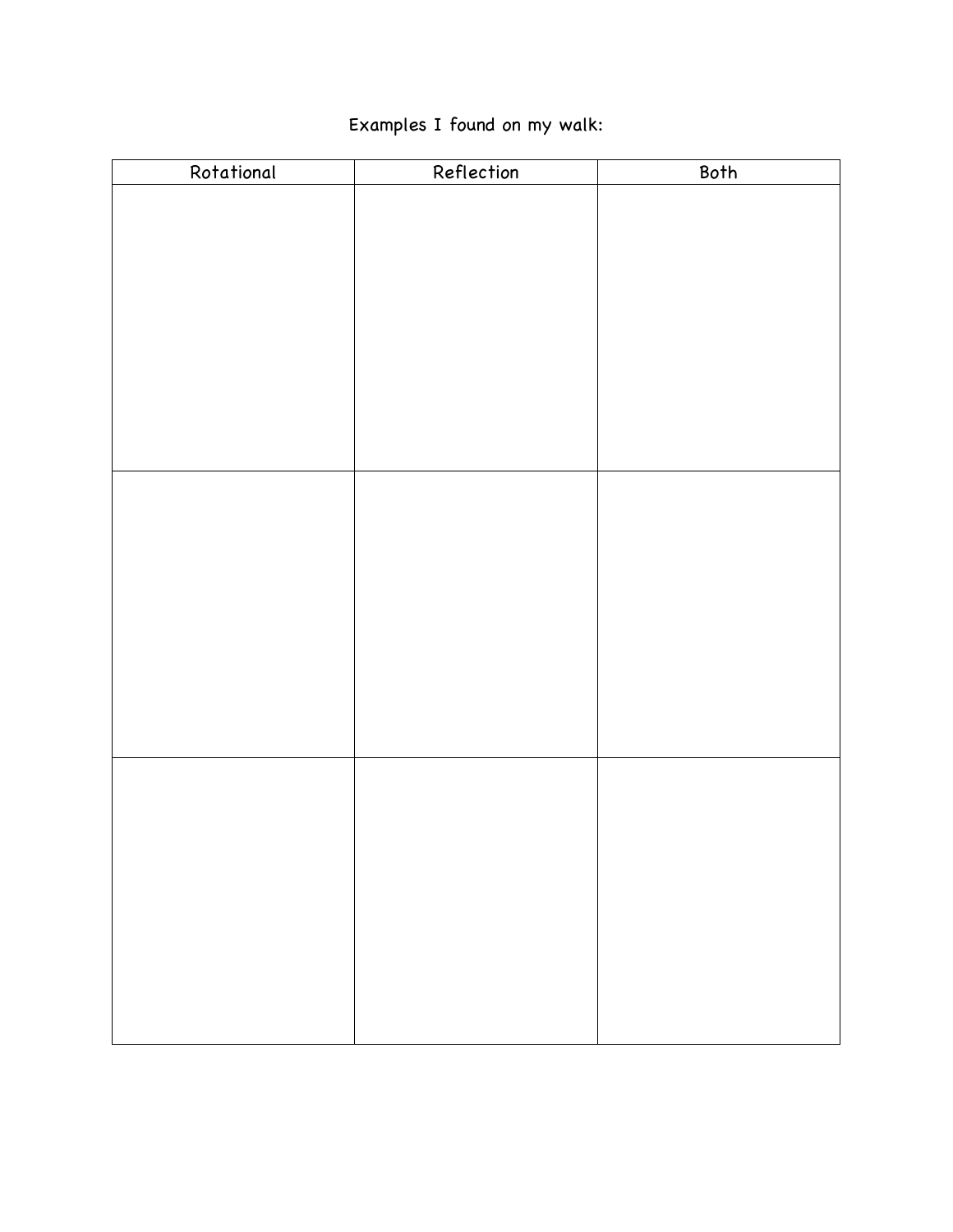# Examples I found on my walk:

| Rotational | Reflection | Both |
|------------|------------|------|
|            |            |      |
|            |            |      |
|            |            |      |
|            |            |      |
|            |            |      |
|            |            |      |
|            |            |      |
|            |            |      |
|            |            |      |
|            |            |      |
|            |            |      |
|            |            |      |
|            |            |      |
|            |            |      |
|            |            |      |
|            |            |      |
|            |            |      |
|            |            |      |
|            |            |      |
|            |            |      |
|            |            |      |
|            |            |      |
|            |            |      |
|            |            |      |
|            |            |      |
|            |            |      |
|            |            |      |
|            |            |      |
|            |            |      |
|            |            |      |